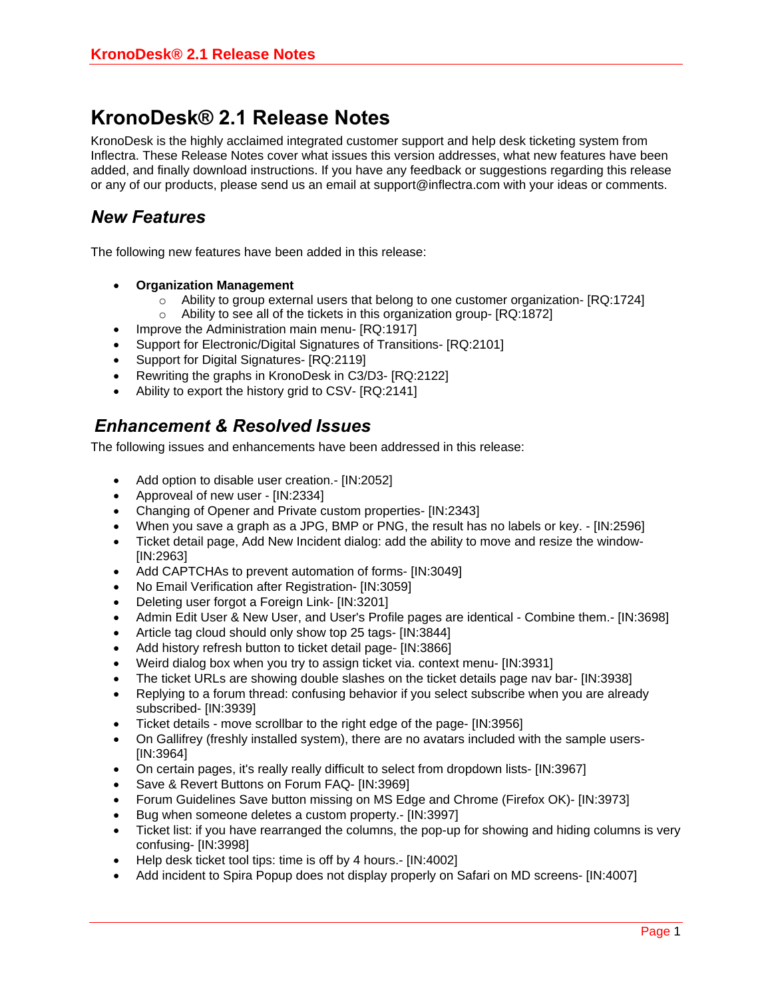## **KronoDesk® 2.1 Release Notes**

KronoDesk is the highly acclaimed integrated customer support and help desk ticketing system from Inflectra. These Release Notes cover what issues this version addresses, what new features have been added, and finally download instructions. If you have any feedback or suggestions regarding this release or any of our products, please send us an email at support@inflectra.com with your ideas or comments.

## *New Features*

The following new features have been added in this release:

- **Organization Management**
	- $\circ$  Ability to group external users that belong to one customer organization-  $[RQ:1724]$
	- o Ability to see all of the tickets in this organization group- [RQ:1872]
- Improve the Administration main menu- [RQ:1917]
- Support for Electronic/Digital Signatures of Transitions- [RQ:2101]
- Support for Digital Signatures- [RQ:2119]
- Rewriting the graphs in KronoDesk in C3/D3- [RQ:2122]
- Ability to export the history grid to CSV- [RQ:2141]

## *Enhancement & Resolved Issues*

The following issues and enhancements have been addressed in this release:

- Add option to disable user creation.- [IN:2052]
- Approveal of new user [IN:2334]
- Changing of Opener and Private custom properties- [IN:2343]
- When you save a graph as a JPG, BMP or PNG, the result has no labels or key. [IN:2596]
- Ticket detail page, Add New Incident dialog: add the ability to move and resize the window- [IN:2963]
- Add CAPTCHAs to prevent automation of forms- [IN:3049]
- No Email Verification after Registration- [IN:3059]
- Deleting user forgot a Foreign Link- [IN:3201]
- Admin Edit User & New User, and User's Profile pages are identical Combine them.- [IN:3698]
- Article tag cloud should only show top 25 tags- [IN:3844]
- Add history refresh button to ticket detail page- [IN:3866]
- Weird dialog box when you try to assign ticket via. context menu- [IN:3931]
- The ticket URLs are showing double slashes on the ticket details page nav bar- [IN:3938]
- Replying to a forum thread: confusing behavior if you select subscribe when you are already subscribed- [IN:3939]
- Ticket details move scrollbar to the right edge of the page- [IN:3956]
- On Gallifrey (freshly installed system), there are no avatars included with the sample users- [IN:3964]
- On certain pages, it's really really difficult to select from dropdown lists- [IN:3967]
- Save & Revert Buttons on Forum FAQ- [IN:3969]
- Forum Guidelines Save button missing on MS Edge and Chrome (Firefox OK)- [IN:3973]
- Bug when someone deletes a custom property.- [IN:3997]
- Ticket list: if you have rearranged the columns, the pop-up for showing and hiding columns is very confusing- [IN:3998]
- Help desk ticket tool tips: time is off by 4 hours.- [IN:4002]
- Add incident to Spira Popup does not display properly on Safari on MD screens- [IN:4007]